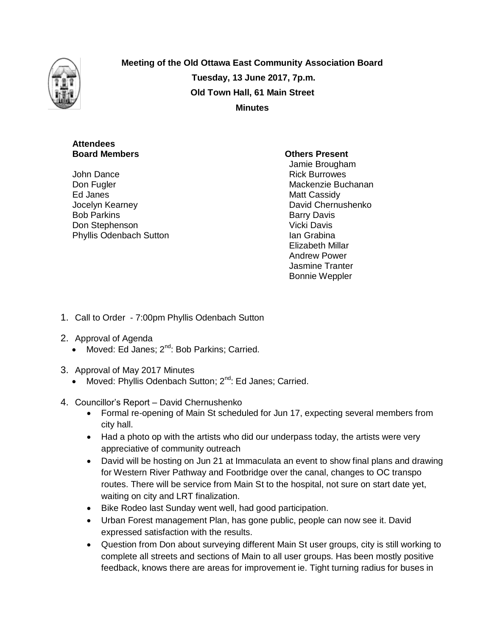

**Meeting of the Old Ottawa East Community Association Board Tuesday, 13 June 2017, 7p.m. Old Town Hall, 61 Main Street Minutes**

# **Attendees Board Members Community Community Community Community Community Community Community Community Community Community Community Community Community Community Community Community Community Community Community Community Communi**

John Dance Don Fugler Ed Janes Jocelyn Kearney Bob Parkins Don Stephenson Phyllis Odenbach Sutton

Jamie Brougham Rick Burrowes Mackenzie Buchanan Matt Cassidy David Chernushenko Barry Davis Vicki Davis Ian Grabina Elizabeth Millar Andrew Power Jasmine Tranter Bonnie Weppler

- 1. Call to Order 7:00pm Phyllis Odenbach Sutton
- 2. Approval of Agenda
	- Moved: Ed Janes; 2<sup>nd</sup>: Bob Parkins; Carried.
- 3. Approval of May 2017 Minutes
	- Moved: Phyllis Odenbach Sutton; 2<sup>nd</sup>: Ed Janes; Carried.
- 4. Councillor's Report David Chernushenko
	- Formal re-opening of Main St scheduled for Jun 17, expecting several members from city hall.
	- Had a photo op with the artists who did our underpass today, the artists were very appreciative of community outreach
	- David will be hosting on Jun 21 at Immaculata an event to show final plans and drawing for Western River Pathway and Footbridge over the canal, changes to OC transpo routes. There will be service from Main St to the hospital, not sure on start date yet, waiting on city and LRT finalization.
	- Bike Rodeo last Sunday went well, had good participation.
	- Urban Forest management Plan, has gone public, people can now see it. David expressed satisfaction with the results.
	- Question from Don about surveying different Main St user groups, city is still working to complete all streets and sections of Main to all user groups. Has been mostly positive feedback, knows there are areas for improvement ie. Tight turning radius for buses in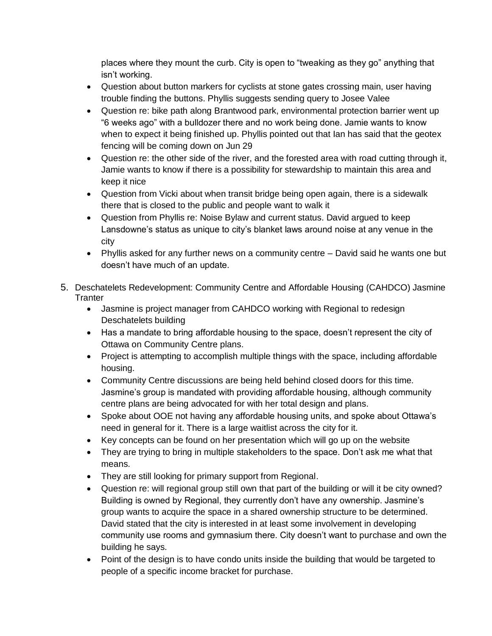places where they mount the curb. City is open to "tweaking as they go" anything that isn't working.

- Question about button markers for cyclists at stone gates crossing main, user having trouble finding the buttons. Phyllis suggests sending query to Josee Valee
- Question re: bike path along Brantwood park, environmental protection barrier went up "6 weeks ago" with a bulldozer there and no work being done. Jamie wants to know when to expect it being finished up. Phyllis pointed out that Ian has said that the geotex fencing will be coming down on Jun 29
- Question re: the other side of the river, and the forested area with road cutting through it, Jamie wants to know if there is a possibility for stewardship to maintain this area and keep it nice
- Question from Vicki about when transit bridge being open again, there is a sidewalk there that is closed to the public and people want to walk it
- Question from Phyllis re: Noise Bylaw and current status. David argued to keep Lansdowne's status as unique to city's blanket laws around noise at any venue in the city
- Phyllis asked for any further news on a community centre David said he wants one but doesn't have much of an update.
- 5. Deschatelets Redevelopment: Community Centre and Affordable Housing (CAHDCO) Jasmine **Tranter** 
	- Jasmine is project manager from CAHDCO working with Regional to redesign Deschatelets building
	- Has a mandate to bring affordable housing to the space, doesn't represent the city of Ottawa on Community Centre plans.
	- Project is attempting to accomplish multiple things with the space, including affordable housing.
	- Community Centre discussions are being held behind closed doors for this time. Jasmine's group is mandated with providing affordable housing, although community centre plans are being advocated for with her total design and plans.
	- Spoke about OOE not having any affordable housing units, and spoke about Ottawa's need in general for it. There is a large waitlist across the city for it.
	- Key concepts can be found on her presentation which will go up on the website
	- They are trying to bring in multiple stakeholders to the space. Don't ask me what that means.
	- They are still looking for primary support from Regional.
	- Question re: will regional group still own that part of the building or will it be city owned? Building is owned by Regional, they currently don't have any ownership. Jasmine's group wants to acquire the space in a shared ownership structure to be determined. David stated that the city is interested in at least some involvement in developing community use rooms and gymnasium there. City doesn't want to purchase and own the building he says.
	- Point of the design is to have condo units inside the building that would be targeted to people of a specific income bracket for purchase.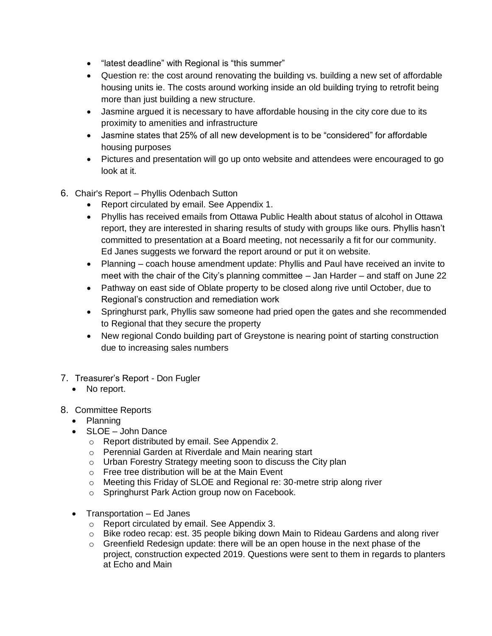- "latest deadline" with Regional is "this summer"
- Question re: the cost around renovating the building vs. building a new set of affordable housing units ie. The costs around working inside an old building trying to retrofit being more than just building a new structure.
- Jasmine argued it is necessary to have affordable housing in the city core due to its proximity to amenities and infrastructure
- Jasmine states that 25% of all new development is to be "considered" for affordable housing purposes
- Pictures and presentation will go up onto website and attendees were encouraged to go look at it.
- 6. Chair's Report Phyllis Odenbach Sutton
	- Report circulated by email. See Appendix 1.
	- Phyllis has received emails from Ottawa Public Health about status of alcohol in Ottawa report, they are interested in sharing results of study with groups like ours. Phyllis hasn't committed to presentation at a Board meeting, not necessarily a fit for our community. Ed Janes suggests we forward the report around or put it on website.
	- Planning coach house amendment update: Phyllis and Paul have received an invite to meet with the chair of the City's planning committee – Jan Harder – and staff on June 22
	- Pathway on east side of Oblate property to be closed along rive until October, due to Regional's construction and remediation work
	- Springhurst park, Phyllis saw someone had pried open the gates and she recommended to Regional that they secure the property
	- New regional Condo building part of Greystone is nearing point of starting construction due to increasing sales numbers
- 7. Treasurer's Report Don Fugler
	- No report.
- 8. Committee Reports
	- Planning
	- SLOE John Dance
		- o Report distributed by email. See Appendix 2.
		- o Perennial Garden at Riverdale and Main nearing start
		- o Urban Forestry Strategy meeting soon to discuss the City plan
		- o Free tree distribution will be at the Main Event
		- o Meeting this Friday of SLOE and Regional re: 30-metre strip along river
		- o Springhurst Park Action group now on Facebook.
	- Transportation Ed Janes
		- o Report circulated by email. See Appendix 3.
		- $\circ$  Bike rodeo recap: est. 35 people biking down Main to Rideau Gardens and along river
		- o Greenfield Redesign update: there will be an open house in the next phase of the project, construction expected 2019. Questions were sent to them in regards to planters at Echo and Main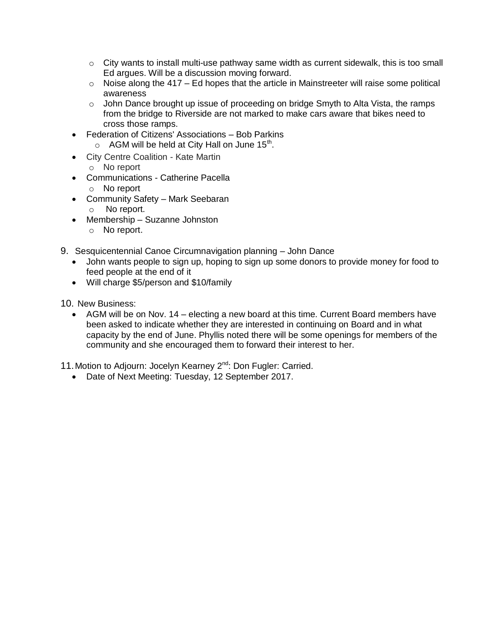- $\circ$  City wants to install multi-use pathway same width as current sidewalk, this is too small Ed argues. Will be a discussion moving forward.
- $\circ$  Noise along the 417 Ed hopes that the article in Mainstreeter will raise some political awareness
- o John Dance brought up issue of proceeding on bridge Smyth to Alta Vista, the ramps from the bridge to Riverside are not marked to make cars aware that bikes need to cross those ramps.
- Federation of Citizens' Associations Bob Parkins
	- $\circ$  AGM will be held at City Hall on June 15<sup>th</sup>.
- City Centre Coalition Kate Martin
- o No report
- Communications Catherine Pacella
	- o No report
- Community Safety Mark Seebaran o No report.
- Membership Suzanne Johnston
	- o No report.
- 9. Sesquicentennial Canoe Circumnavigation planning John Dance
	- John wants people to sign up, hoping to sign up some donors to provide money for food to feed people at the end of it
	- Will charge \$5/person and \$10/family
- 10. New Business:
	- AGM will be on Nov. 14 electing a new board at this time. Current Board members have been asked to indicate whether they are interested in continuing on Board and in what capacity by the end of June. Phyllis noted there will be some openings for members of the community and she encouraged them to forward their interest to her.

11. Motion to Adjourn: Jocelyn Kearney 2<sup>nd</sup>: Don Fugler: Carried.

• Date of Next Meeting: Tuesday, 12 September 2017.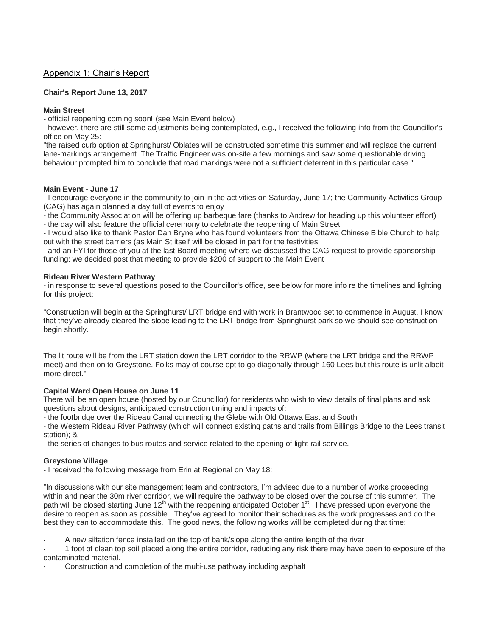# Appendix 1: Chair's Report

### **Chair's Report June 13, 2017**

### **Main Street**

- official reopening coming soon! (see Main Event below)

- however, there are still some adjustments being contemplated, e.g., I received the following info from the Councillor's office on May 25:

"the raised curb option at Springhurst/ Oblates will be constructed sometime this summer and will replace the current lane-markings arrangement. The Traffic Engineer was on-site a few mornings and saw some questionable driving behaviour prompted him to conclude that road markings were not a sufficient deterrent in this particular case."

#### **Main Event - June 17**

- I encourage everyone in the community to join in the activities on Saturday, June 17; the Community Activities Group (CAG) has again planned a day full of events to enjoy

- the Community Association will be offering up barbeque fare (thanks to Andrew for heading up this volunteer effort)

- the day will also feature the official ceremony to celebrate the reopening of Main Street

- I would also like to thank Pastor Dan Bryne who has found volunteers from the Ottawa Chinese Bible Church to help out with the street barriers (as Main St itself will be closed in part for the festivities

- and an FYI for those of you at the last Board meeting where we discussed the CAG request to provide sponsorship funding: we decided post that meeting to provide \$200 of support to the Main Event

#### **Rideau River Western Pathway**

- in response to several questions posed to the Councillor's office, see below for more info re the timelines and lighting for this project:

"Construction will begin at the Springhurst/ LRT bridge end with work in Brantwood set to commence in August. I know that they've already cleared the slope leading to the LRT bridge from Springhurst park so we should see construction begin shortly.

The lit route will be from the LRT station down the LRT corridor to the RRWP (where the LRT bridge and the RRWP meet) and then on to Greystone. Folks may of course opt to go diagonally through 160 Lees but this route is unlit albeit more direct."

#### **Capital Ward Open House on June 11**

There will be an open house (hosted by our Councillor) for residents who wish to view details of final plans and ask questions about designs, anticipated construction timing and impacts of:

- the footbridge over the Rideau Canal connecting the Glebe with Old Ottawa East and South;

- the Western Rideau River Pathway (which will connect existing paths and trails from Billings Bridge to the Lees transit station); &

- the series of changes to bus routes and service related to the opening of light rail service.

#### **Greystone Village**

- I received the following message from Erin at Regional on May 18:

"In discussions with our site management team and contractors, I'm advised due to a number of works proceeding within and near the 30m river corridor, we will require the pathway to be closed over the course of this summer. The path will be closed starting June 12<sup>th</sup> with the reopening anticipated October 1<sup>st</sup>. I have pressed upon everyone the desire to reopen as soon as possible. They've agreed to monitor their schedules as the work progresses and do the best they can to accommodate this. The good news, the following works will be completed during that time:

· A new siltation fence installed on the top of bank/slope along the entire length of the river

· 1 foot of clean top soil placed along the entire corridor, reducing any risk there may have been to exposure of the contaminated material.

Construction and completion of the multi-use pathway including asphalt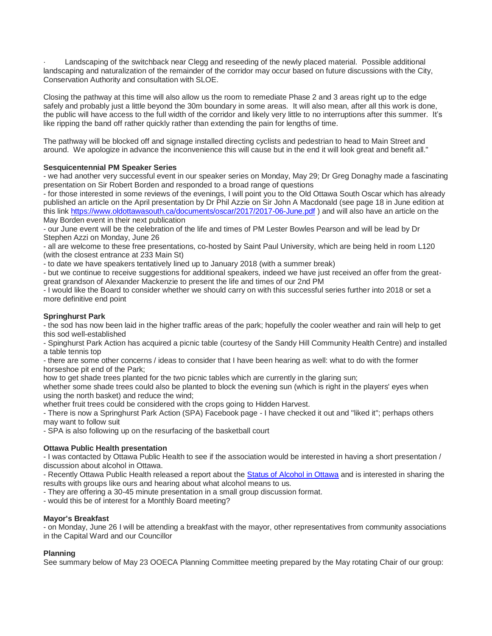Landscaping of the switchback near Clegg and reseeding of the newly placed material. Possible additional landscaping and naturalization of the remainder of the corridor may occur based on future discussions with the City, Conservation Authority and consultation with SLOE.

Closing the pathway at this time will also allow us the room to remediate Phase 2 and 3 areas right up to the edge safely and probably just a little beyond the 30m boundary in some areas. It will also mean, after all this work is done, the public will have access to the full width of the corridor and likely very little to no interruptions after this summer. It's like ripping the band off rather quickly rather than extending the pain for lengths of time.

The pathway will be blocked off and signage installed directing cyclists and pedestrian to head to Main Street and around. We apologize in advance the inconvenience this will cause but in the end it will look great and benefit all."

# **Sesquicentennial PM Speaker Series**

- we had another very successful event in our speaker series on Monday, May 29; Dr Greg Donaghy made a fascinating presentation on Sir Robert Borden and responded to a broad range of questions

- for those interested in some reviews of the evenings, I will point you to the Old Ottawa South Oscar which has already published an article on the April presentation by Dr Phil Azzie on Sir John A Macdonald (see page 18 in June edition at this link <https://www.oldottawasouth.ca/documents/oscar/2017/2017-06-June.pdf> ) and will also have an article on the May Borden event in their next publication

- our June event will be the celebration of the life and times of PM Lester Bowles Pearson and will be lead by Dr Stephen Azzi on Monday, June 26

- all are welcome to these free presentations, co-hosted by Saint Paul University, which are being held in room L120 (with the closest entrance at 233 Main St)

- to date we have speakers tentatively lined up to January 2018 (with a summer break)

- but we continue to receive suggestions for additional speakers, indeed we have just received an offer from the greatgreat grandson of Alexander Mackenzie to present the life and times of our 2nd PM

- I would like the Board to consider whether we should carry on with this successful series further into 2018 or set a more definitive end point

#### **Springhurst Park**

- the sod has now been laid in the higher traffic areas of the park; hopefully the cooler weather and rain will help to get this sod well-established

- Spinghurst Park Action has acquired a picnic table (courtesy of the Sandy Hill Community Health Centre) and installed a table tennis top

- there are some other concerns / ideas to consider that I have been hearing as well: what to do with the former horseshoe pit end of the Park;

how to get shade trees planted for the two picnic tables which are currently in the glaring sun;

whether some shade trees could also be planted to block the evening sun (which is right in the players' eyes when using the north basket) and reduce the wind;

whether fruit trees could be considered with the crops going to Hidden Harvest.

- There is now a Springhurst Park Action (SPA) Facebook page - I have checked it out and "liked it"; perhaps others may want to follow suit

- SPA is also following up on the resurfacing of the basketball court

#### **Ottawa Public Health presentation**

- I was contacted by Ottawa Public Health to see if the association would be interested in having a short presentation / discussion about alcohol in Ottawa.

- Recently Ottawa Public Health released a report about the [Status of Alcohol in Ottawa](https://documents.ottawa.ca/sites/documents.ottawa.ca/files/state_of_alcohol_2016_en.pdf) and is interested in sharing the results with groups like ours and hearing about what alcohol means to us.

- They are offering a 30-45 minute presentation in a small group discussion format.

- would this be of interest for a Monthly Board meeting?

#### **Mayor's Breakfast**

- on Monday, June 26 I will be attending a breakfast with the mayor, other representatives from community associations in the Capital Ward and our Councillor

#### **Planning**

See summary below of May 23 OOECA Planning Committee meeting prepared by the May rotating Chair of our group: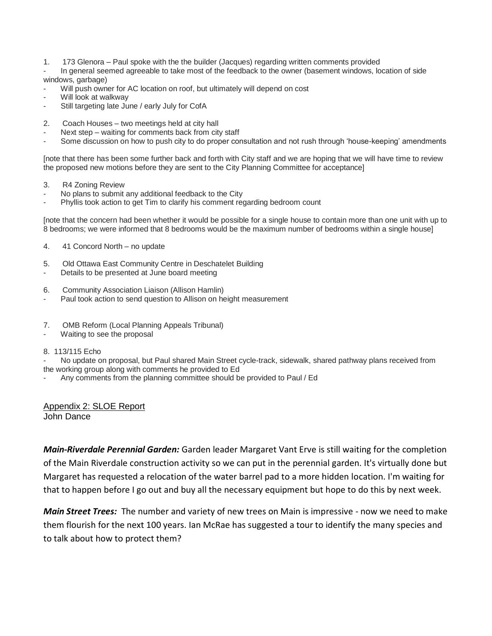- 1. 173 Glenora Paul spoke with the the builder (Jacques) regarding written comments provided
- In general seemed agreeable to take most of the feedback to the owner (basement windows, location of side windows, garbage)
- Will push owner for AC location on roof, but ultimately will depend on cost
- Will look at walkway
- Still targeting late June / early July for CofA
- 2. Coach Houses two meetings held at city hall
- Next step waiting for comments back from city staff
- Some discussion on how to push city to do proper consultation and not rush through 'house-keeping' amendments

[note that there has been some further back and forth with City staff and we are hoping that we will have time to review the proposed new motions before they are sent to the City Planning Committee for acceptance]

- 3. R4 Zoning Review
- No plans to submit any additional feedback to the City
- Phyllis took action to get Tim to clarify his comment regarding bedroom count

[note that the concern had been whether it would be possible for a single house to contain more than one unit with up to 8 bedrooms; we were informed that 8 bedrooms would be the maximum number of bedrooms within a single house]

- 4. 41 Concord North no update
- 5. Old Ottawa East Community Centre in Deschatelet Building
- Details to be presented at June board meeting
- 6. Community Association Liaison (Allison Hamlin)
- Paul took action to send question to Allison on height measurement
- 7. OMB Reform (Local Planning Appeals Tribunal)
- Waiting to see the proposal

#### 8. 113/115 Echo

- No update on proposal, but Paul shared Main Street cycle-track, sidewalk, shared pathway plans received from the working group along with comments he provided to Ed

- Any comments from the planning committee should be provided to Paul / Ed

Appendix 2: SLOE Report John Dance

*Main-Riverdale Perennial Garden:* Garden leader Margaret Vant Erve is still waiting for the completion of the Main Riverdale construction activity so we can put in the perennial garden. It's virtually done but Margaret has requested a relocation of the water barrel pad to a more hidden location. I'm waiting for that to happen before I go out and buy all the necessary equipment but hope to do this by next week.

*Main Street Trees:* The number and variety of new trees on Main is impressive - now we need to make them flourish for the next 100 years. Ian McRae has suggested a tour to identify the many species and to talk about how to protect them?